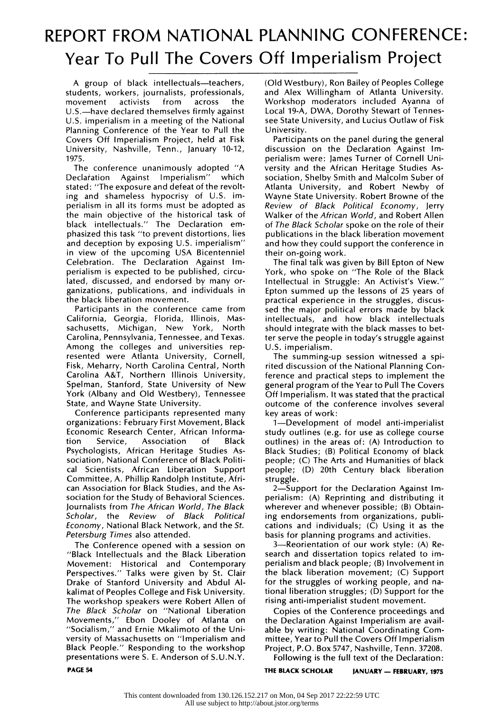## REPORT FROM NATIONAL PLANNING CONFERENCE: Year To Pull The Covers Off Imperialism Project

A group of black intellectuals-teachers, students, workers, journalists, professionals,<br>movement activists from across the movement activists U.S.—have declared themselves firmly against U.S. imperialism in a meeting of the National Planning Conference of the Year to Pull the Covers Off Imperialism Project, held at Fisk University, Nashville, Tenn., January 10-12, 1975.

The conference unanimously adopted "A eclaration Against Imperialism" which Declaration Against Imperialism" stated: "The exposure and defeat of the revolt ing and shameless hypocrisy of U.S. im perialism in all its forms must be adopted as the main objective of the historical task of black intellectuals." The Declaration em phasized this task "to prevent distortions, lies and deception by exposing U.S. imperialism" in view of the upcoming USA Bicentenniel Celebration. The Declaration Against Im perialism is expected to be published, circu lated, discussed, and endorsed by many or ganizations, publications, and individuals in the black liberation movement.

 Participants in the conference came from California, Georgia, Florida, Illinois, Mas sachusetts, Michigan, New York, North Carolina, Pennsylvania, Tennessee, and Texas. Among the colleges and universities rep resented were Atlanta University, Cornell, Fisk, Meharry, North Carolina Central, North Carolina A&T, Northern Illinois University, Spelman, Stanford, State University of New York (Albany and Old Westbery), Tennessee State, and Wayne State University.

 Conference participants represented many organizations: February First Movement, Black Economic Research Center, African Informa-<br>tion Service, Association of Black tion Service, Association of Black Psychologists, African Heritage Studies As-<br>contation National Gault and Collect Politic Both Collect Collect sociation, National Conference of Black Politi cal Scientists, African Liberation Support Committee, A. Phillip Randolph Institute, Afri can Association for Black Studies, and the As sociation for the Study of Behavioral Sciences. Journalists from The African World, The Black Scholar, the Review of Black Political Economy, National Black Network, and the Si. Petersburg Times also attended.

 The Conference opened with a session on "Black Intellectuals and the Black Liberation Movement: Historical and Contemporary Perspectives." Talks were given by St. Clair Drake of Stanford University and Abdul Al kalimat of Peoples College and Fisk University. The workshop speakers were Robert Allen of The Black Scholar on "National Liberation Movements," Ebon Dooley of Atlanta on "Socialism," and Ernie Mkalimoto of the Uni versity of Massachusetts on "Imperialism and Black People." Responding to the workshop presentations were S. E. Anderson of S.U.N.Y.

 (Old Westbury), Ron Bailey of Peoples College and Alex Willingham of Atlanta University. Workshop moderators included Ayanna of Local 19-A, DWA, Dorothy Stewart of Tennes see State University, and Lucius Outlaw of Fisk University.

 Participants on the panel during the general discussion on the Declaration Against Im perialism were: James Turner of Cornell Uni versity and the African Heritage Studies As sociation, Shelby Smith and Malcolm Suber of Atlanta University, and Robert Newby of Wayne State University. Robert Browne of the Review of Black Political Economy, Jerry Walker of the African World, and Robert Allen of The Black Scholar spoke on the role of their publications in the black liberation movement and how they could support the conference in their on-going work.

 The final talk was given by Bill Epton of New York, who spoke on "The Role of the Black Intellectual in Struggle: An Activist's View." Epton summed up the lessons of 25 years of practical experience in the struggles, discus sed the major political errors made by black intellectuals, and how black intellectuals should integrate with the black masses to bet ter serve the people in today's struggle against U.S. imperialism.

 The summing-up session witnessed a spi rited discussion of the National Planning Con ference and practical steps to implement the general program of the Year to Pull The Covers Off Imperialism. It was stated that the practical outcome of the conference involves several key areas of work:

1--Development of model anti-imperialist study outlines (e.g. for use as college course outlines) in the areas of: (A) Introduction to Black Studies; (B) Political Economy of black people; (C) The Arts and Humanities of black people; (D) 20th Century black liberation struggle.

2-Support for the Declaration Against Im perialism: (A) Reprinting and distributing it wherever and whenever possible; (B) Obtain ing endorsements from organizations, publi cations and individuals; (C) Using it as the basis for planning programs and activities.

3-Reorientation of our work style: (A) Re search and dissertation topics related to im perialism and black people; (B) Involvement in the black liberation movement; (C) Support for the struggles of working people, and na tional liberation struggles; (D) Support for the rising anti-imperialist student movement.

 Copies of the Conference proceedings and the Declaration Against Imperialism are avail able by writing: National Coordinating Com mittee, Year to Pull the Covers Off Imperialism Project, P.O. Box 5747, Nashville, Tenn. 37208.

Following is the full text of the Declaration: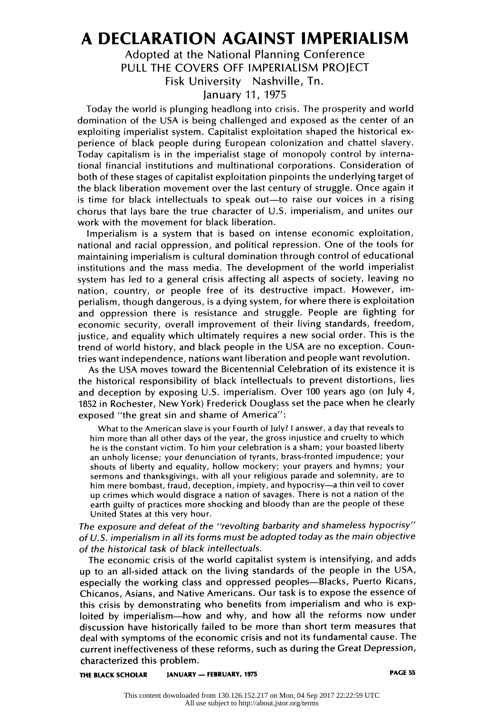## A DECLARATION AGAINST IMPERIALISM

 Adopted at the National Planning Conference PULL THE COVERS OFF IMPERIALISM PROJECT Fisk University Nashville, Tn. January 11, 1975

 Today the world is plunging headlong into crisis. The prosperity and world domination of the USA is being challenged and exposed as the center of an exploiting imperialist system. Capitalist exploitation shaped the historical ex perience of black people during European colonization and chattel slavery. Today capitalism is in the imperialist stage of monopoly control by interna tional financial institutions and multinational corporations. Consideration of both of these stages of capitalist exploitation pinpoints the underlying target of the black liberation movement over the last century of struggle. Once again it is time for black intellectuals to speak out—to raise our voices in a rising chorus that lays bare the true character of U.S. imperialism, and unites our work with the movement for black liberation.

 Imperialism is a system that is based on intense economic exploitation, national and racial oppression, and political repression. One of the tools for maintaining imperialism is cultural domination through control of educational institutions and the mass media. The development of the world imperialist system has led to a general crisis affecting all aspects of society, leaving no nation, country, or people free of its destructive impact. However, im perialism, though dangerous, is a dying system, for where there is exploitation and oppression there is resistance and struggle. People are fighting for economic security, overall improvement of their living standards, freedom, justice, and equality which ultimately requires a new social order. This is the trend of world history, and black people in the USA are no exception. Coun tries want independence, nations want liberation and people want revolution.

 As the USA moves toward the Bicentennial Celebration of its existence it is the historical responsibility of black intellectuals to prevent distortions, lies and deception by exposing U.S. imperialism. Over 100 years ago (on July 4, 1852 in Rochester, New York) Frederick Douglass set the pace when he clearly exposed "the great sin and shame of America":

 What to the American slave is your Fourth of July? I answer, a day that reveals to him more than all other days of the year, the gross injustice and cruelty to which he is the constant victim. To him your celebration is a sham; your boasted liberty an unholy license; your denunciation of tyrants, brass-fronted impudence; your shouts of liberty and equality, hollow mockery; your prayers and hymns; your sermons and thanksgivings, with all your religious parade and solemnity, are to him mere bombast, fraud, deception, impiety, and hypocrisy-a thin veil to cover up crimes which would disgrace a nation of savages. There is not a nation of the earth guilty of practices more shocking and bloody than are the people of these United States at this very hour.

 The exposure and defeat of the "revolting barbarity and shameless hypocrisy" of U.S. imperialism in all its forms must be adopted today as the main objective of the historical task of black intellectuals.

 The economic crisis of the world capitalist system is intensifying, and adds up to an all-sided attack on the living standards of the people in the USA, especially the working class and oppressed peoples-Blacks, Puerto Ricans, Chícanos, Asians, and Native Americans. Our task is to expose the essence of this crisis by demonstrating who benefits from imperialism and who is exp loited by imperialism-how and why, and how all the reforms now under discussion have historically failed to be more than short term measures that deal with symptoms of the economic crisis and not its fundamental cause. The current ineffectiveness of these reforms, such as during the Great Depression, characterized this problem.